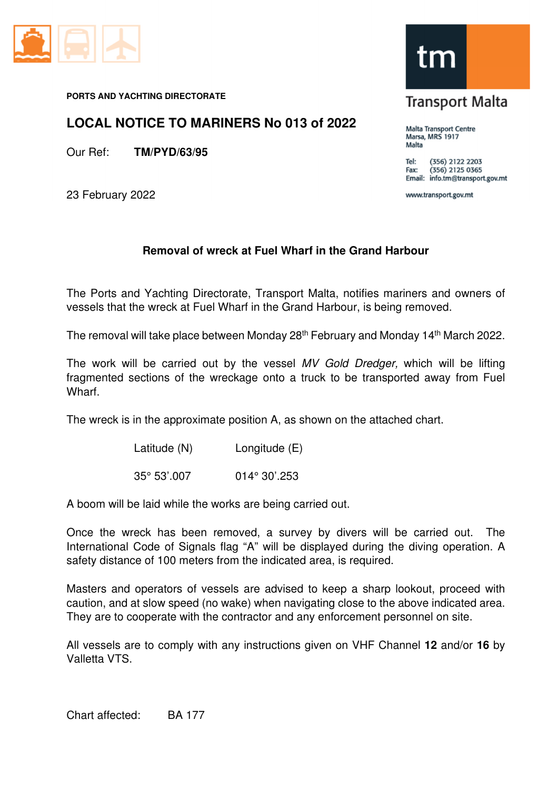

#### **PORTS AND YACHTING DIRECTORATE**

## **LOCAL NOTICE TO MARINERS No 013 of 2022**

Our Ref: **TM/PYD/63/95**

23 February 2022

### **Removal of wreck at Fuel Wharf in the Grand Harbour**

The Ports and Yachting Directorate, Transport Malta, notifies mariners and owners of vessels that the wreck at Fuel Wharf in the Grand Harbour, is being removed.

The removal will take place between Monday 28<sup>th</sup> February and Monday 14<sup>th</sup> March 2022.

The work will be carried out by the vessel MV Gold Dredger, which will be lifting fragmented sections of the wreckage onto a truck to be transported away from Fuel Wharf.

The wreck is in the approximate position A, as shown on the attached chart.

| Latitude (N) | Longitude (E) |
|--------------|---------------|
|--------------|---------------|

35° 53'.007 014° 30'.253

A boom will be laid while the works are being carried out.

Once the wreck has been removed, a survey by divers will be carried out. The International Code of Signals flag "A" will be displayed during the diving operation. A safety distance of 100 meters from the indicated area, is required.

Masters and operators of vessels are advised to keep a sharp lookout, proceed with caution, and at slow speed (no wake) when navigating close to the above indicated area. They are to cooperate with the contractor and any enforcement personnel on site.

All vessels are to comply with any instructions given on VHF Channel **12** and/or **16** by Valletta VTS.



# **Transport Malta**

Malta Transport Centre Marsa, MRS 1917 Malta

(356) 2122 2203 Tel:  $(356)$  2125 0365 Fax: Email: info.tm@transport.gov.mt

www.transport.gov.mt